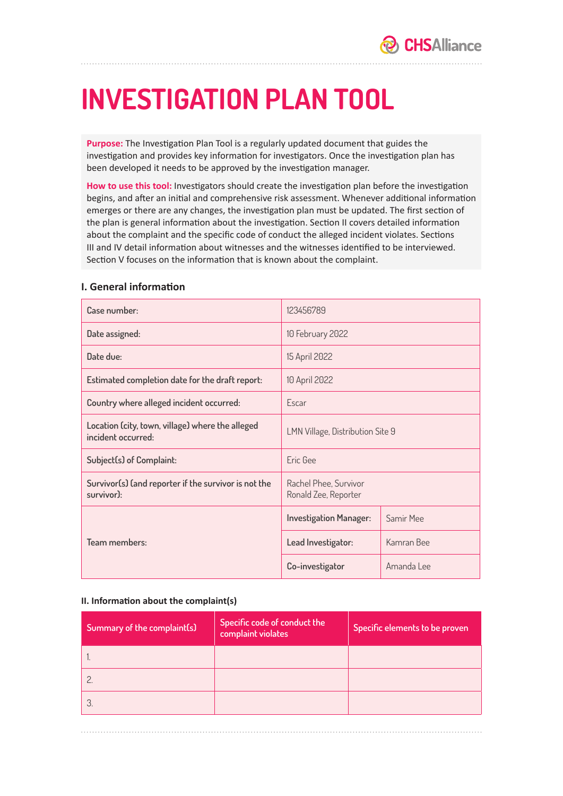# **INVESTIGATION PLAN TOOL**

**Purpose:** The Investigation Plan Tool is a regularly updated document that guides the investigation and provides key information for investigators. Once the investigation plan has been developed it needs to be approved by the investigation manager.

**How to use this tool:** Investigators should create the investigation plan before the investigation begins, and after an initial and comprehensive risk assessment. Whenever additional information emerges or there are any changes, the investigation plan must be updated. The first section of the plan is general information about the investigation. Section II covers detailed information about the complaint and the specific code of conduct the alleged incident violates. Sections III and IV detail information about witnesses and the witnesses identified to be interviewed. Section V focuses on the information that is known about the complaint.

#### **I. General information**

| Case number:                                                           | 123456789                                     |            |  |
|------------------------------------------------------------------------|-----------------------------------------------|------------|--|
| Date assigned:                                                         | 10 February 2022                              |            |  |
| Date due:                                                              | 15 April 2022                                 |            |  |
| Estimated completion date for the draft report:                        | 10 April 2022                                 |            |  |
| Country where alleged incident occurred:                               | Escar                                         |            |  |
| Location (city, town, village) where the alleged<br>incident occurred: | LMN Village, Distribution Site 9              |            |  |
| Subject(s) of Complaint:                                               | Fric Gee                                      |            |  |
| Survivor(s) (and reporter if the survivor is not the<br>survivor):     | Rachel Phee, Survivor<br>Ronald Zee, Reporter |            |  |
|                                                                        | <b>Investigation Manager:</b>                 | Samir Mee  |  |
| Team members:                                                          | Lead Investigator:                            | Kamran Bee |  |
|                                                                        | Co-investigator                               | Amanda Lee |  |

#### **II. Information about the complaint(s)**

| Summary of the complaint(s) | Specific code of conduct the<br>complaint violates | Specific elements to be proven |
|-----------------------------|----------------------------------------------------|--------------------------------|
|                             |                                                    |                                |
|                             |                                                    |                                |
|                             |                                                    |                                |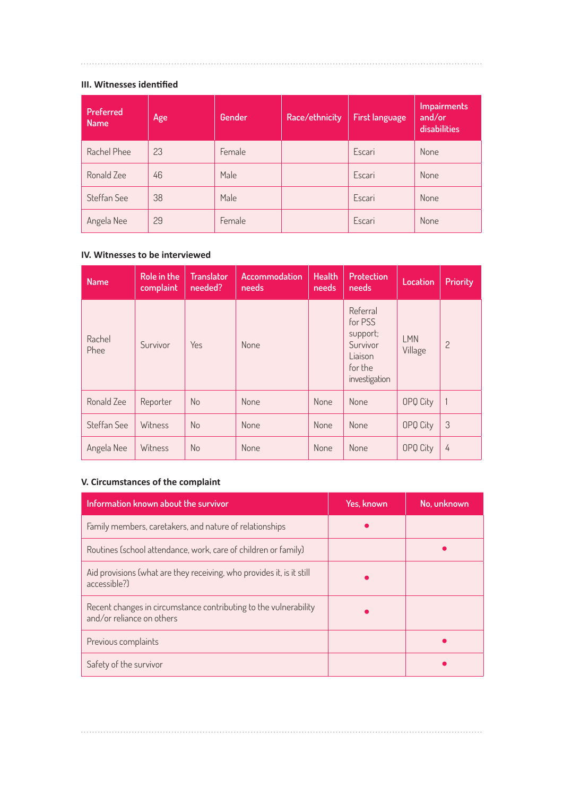### **III. Witnesses identified**

| Preferred<br><b>Name</b> | Age | Gender | Race/ethnicity | <b>First language</b> | <b>Impairments</b><br>and/or<br>disabilities |
|--------------------------|-----|--------|----------------|-----------------------|----------------------------------------------|
| Rachel Phee              | 23  | Female |                | Escari                | None                                         |
| Ronald Zee               | 46  | Male   |                | Escari                | <b>None</b>                                  |
| Steffan See              | 38  | Male   |                | Escari                | None                                         |
| Angela Nee               | 29  | Female |                | Escari                | None                                         |

#### **IV. Witnesses to be interviewed**

| <b>Name</b>    | Role in the<br>complaint | <b>Translator</b><br>needed? | Accommodation<br>needs | <b>Health</b><br>needs | <b>Protection</b><br>needs                                                         | Location              | <b>Priority</b> |
|----------------|--------------------------|------------------------------|------------------------|------------------------|------------------------------------------------------------------------------------|-----------------------|-----------------|
| Rachel<br>Phee | Survivor                 | Yes                          | None                   |                        | Referral<br>for PSS<br>support;<br>Survivor<br>Liaison<br>for the<br>investigation | <b>LMN</b><br>Village | $\overline{c}$  |
| Ronald Zee     | Reporter                 | No                           | None                   | <b>None</b>            | None                                                                               | OPQ City              | 1               |
| Steffan See    | Witness                  | No                           | None                   | <b>None</b>            | None                                                                               | OPQ City              | 3               |
| Angela Nee     | Witness                  | No                           | None                   | None                   | None                                                                               | OPQ City              | 4               |

## **V. Circumstances of the complaint**

| Information known about the survivor                                                          | Yes, known | No, unknown |
|-----------------------------------------------------------------------------------------------|------------|-------------|
| Family members, caretakers, and nature of relationships                                       |            |             |
| Routines (school attendance, work, care of children or family)                                |            |             |
| Aid provisions (what are they receiving, who provides it, is it still<br>accessible?)         |            |             |
| Recent changes in circumstance contributing to the vulnerability<br>and/or reliance on others |            |             |
| Previous complaints                                                                           |            |             |
| Safety of the survivor                                                                        |            |             |